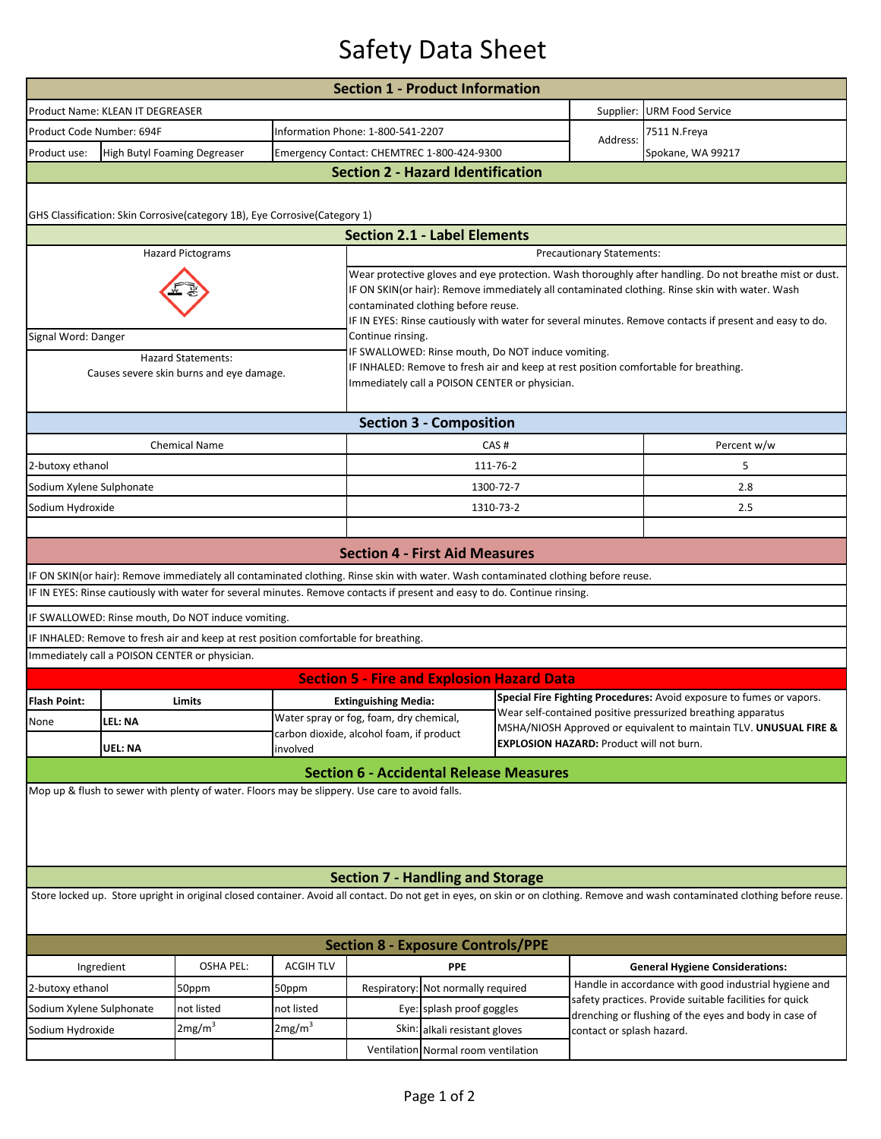## Safety Data Sheet

| <b>Section 1 - Product Information</b>                                                                                                                                          |                                                |                                                                                                                                    |                                                                                                                                                                                                                                                                                                                                                             |                                                                                                                                                                                              |                                            |                                                                                                                                      |                                                                                                                                                                           |                                        |  |  |  |  |
|---------------------------------------------------------------------------------------------------------------------------------------------------------------------------------|------------------------------------------------|------------------------------------------------------------------------------------------------------------------------------------|-------------------------------------------------------------------------------------------------------------------------------------------------------------------------------------------------------------------------------------------------------------------------------------------------------------------------------------------------------------|----------------------------------------------------------------------------------------------------------------------------------------------------------------------------------------------|--------------------------------------------|--------------------------------------------------------------------------------------------------------------------------------------|---------------------------------------------------------------------------------------------------------------------------------------------------------------------------|----------------------------------------|--|--|--|--|
|                                                                                                                                                                                 | Product Name: KLEAN IT DEGREASER               |                                                                                                                                    |                                                                                                                                                                                                                                                                                                                                                             |                                                                                                                                                                                              |                                            |                                                                                                                                      | Supplier:                                                                                                                                                                 | URM Food Service                       |  |  |  |  |
| Product Code Number: 694F                                                                                                                                                       |                                                |                                                                                                                                    |                                                                                                                                                                                                                                                                                                                                                             | Information Phone: 1-800-541-2207                                                                                                                                                            |                                            |                                                                                                                                      | Address:                                                                                                                                                                  | 7511 N.Freya                           |  |  |  |  |
| Product use:                                                                                                                                                                    | High Butyl Foaming Degreaser                   |                                                                                                                                    |                                                                                                                                                                                                                                                                                                                                                             |                                                                                                                                                                                              | Emergency Contact: CHEMTREC 1-800-424-9300 |                                                                                                                                      |                                                                                                                                                                           | Spokane, WA 99217                      |  |  |  |  |
| <b>Section 2 - Hazard Identification</b>                                                                                                                                        |                                                |                                                                                                                                    |                                                                                                                                                                                                                                                                                                                                                             |                                                                                                                                                                                              |                                            |                                                                                                                                      |                                                                                                                                                                           |                                        |  |  |  |  |
|                                                                                                                                                                                 |                                                |                                                                                                                                    |                                                                                                                                                                                                                                                                                                                                                             |                                                                                                                                                                                              |                                            |                                                                                                                                      |                                                                                                                                                                           |                                        |  |  |  |  |
|                                                                                                                                                                                 |                                                | GHS Classification: Skin Corrosive(category 1B), Eye Corrosive(Category 1)                                                         |                                                                                                                                                                                                                                                                                                                                                             |                                                                                                                                                                                              |                                            |                                                                                                                                      |                                                                                                                                                                           |                                        |  |  |  |  |
|                                                                                                                                                                                 |                                                |                                                                                                                                    |                                                                                                                                                                                                                                                                                                                                                             | <b>Section 2.1 - Label Elements</b>                                                                                                                                                          |                                            |                                                                                                                                      |                                                                                                                                                                           |                                        |  |  |  |  |
|                                                                                                                                                                                 |                                                | <b>Hazard Pictograms</b>                                                                                                           | <b>Precautionary Statements:</b>                                                                                                                                                                                                                                                                                                                            |                                                                                                                                                                                              |                                            |                                                                                                                                      |                                                                                                                                                                           |                                        |  |  |  |  |
|                                                                                                                                                                                 |                                                |                                                                                                                                    | Wear protective gloves and eye protection. Wash thoroughly after handling. Do not breathe mist or dust.<br>IF ON SKIN(or hair): Remove immediately all contaminated clothing. Rinse skin with water. Wash<br>contaminated clothing before reuse.<br>IF IN EYES: Rinse cautiously with water for several minutes. Remove contacts if present and easy to do. |                                                                                                                                                                                              |                                            |                                                                                                                                      |                                                                                                                                                                           |                                        |  |  |  |  |
| Signal Word: Danger                                                                                                                                                             |                                                |                                                                                                                                    |                                                                                                                                                                                                                                                                                                                                                             | Continue rinsing.                                                                                                                                                                            |                                            |                                                                                                                                      |                                                                                                                                                                           |                                        |  |  |  |  |
| <b>Hazard Statements:</b><br>Causes severe skin burns and eye damage.                                                                                                           |                                                |                                                                                                                                    |                                                                                                                                                                                                                                                                                                                                                             | IF SWALLOWED: Rinse mouth, Do NOT induce vomiting.<br>IF INHALED: Remove to fresh air and keep at rest position comfortable for breathing.<br>Immediately call a POISON CENTER or physician. |                                            |                                                                                                                                      |                                                                                                                                                                           |                                        |  |  |  |  |
| <b>Section 3 - Composition</b>                                                                                                                                                  |                                                |                                                                                                                                    |                                                                                                                                                                                                                                                                                                                                                             |                                                                                                                                                                                              |                                            |                                                                                                                                      |                                                                                                                                                                           |                                        |  |  |  |  |
|                                                                                                                                                                                 |                                                | <b>Chemical Name</b>                                                                                                               |                                                                                                                                                                                                                                                                                                                                                             |                                                                                                                                                                                              |                                            | CAS#                                                                                                                                 |                                                                                                                                                                           | Percent w/w                            |  |  |  |  |
| 2-butoxy ethanol                                                                                                                                                                |                                                |                                                                                                                                    |                                                                                                                                                                                                                                                                                                                                                             |                                                                                                                                                                                              |                                            | 111-76-2                                                                                                                             |                                                                                                                                                                           | 5                                      |  |  |  |  |
| Sodium Xylene Sulphonate                                                                                                                                                        |                                                |                                                                                                                                    |                                                                                                                                                                                                                                                                                                                                                             |                                                                                                                                                                                              |                                            | 1300-72-7                                                                                                                            |                                                                                                                                                                           | 2.8                                    |  |  |  |  |
| Sodium Hydroxide                                                                                                                                                                |                                                |                                                                                                                                    |                                                                                                                                                                                                                                                                                                                                                             | 1310-73-2                                                                                                                                                                                    |                                            |                                                                                                                                      |                                                                                                                                                                           | 2.5                                    |  |  |  |  |
|                                                                                                                                                                                 |                                                |                                                                                                                                    |                                                                                                                                                                                                                                                                                                                                                             |                                                                                                                                                                                              |                                            |                                                                                                                                      |                                                                                                                                                                           |                                        |  |  |  |  |
|                                                                                                                                                                                 |                                                |                                                                                                                                    |                                                                                                                                                                                                                                                                                                                                                             | <b>Section 4 - First Aid Measures</b>                                                                                                                                                        |                                            |                                                                                                                                      |                                                                                                                                                                           |                                        |  |  |  |  |
|                                                                                                                                                                                 |                                                | IF ON SKIN(or hair): Remove immediately all contaminated clothing. Rinse skin with water. Wash contaminated clothing before reuse. |                                                                                                                                                                                                                                                                                                                                                             |                                                                                                                                                                                              |                                            |                                                                                                                                      |                                                                                                                                                                           |                                        |  |  |  |  |
|                                                                                                                                                                                 |                                                | IF IN EYES: Rinse cautiously with water for several minutes. Remove contacts if present and easy to do. Continue rinsing.          |                                                                                                                                                                                                                                                                                                                                                             |                                                                                                                                                                                              |                                            |                                                                                                                                      |                                                                                                                                                                           |                                        |  |  |  |  |
|                                                                                                                                                                                 |                                                | IF SWALLOWED: Rinse mouth, Do NOT induce vomiting.                                                                                 |                                                                                                                                                                                                                                                                                                                                                             |                                                                                                                                                                                              |                                            |                                                                                                                                      |                                                                                                                                                                           |                                        |  |  |  |  |
|                                                                                                                                                                                 |                                                | IF INHALED: Remove to fresh air and keep at rest position comfortable for breathing.                                               |                                                                                                                                                                                                                                                                                                                                                             |                                                                                                                                                                                              |                                            |                                                                                                                                      |                                                                                                                                                                           |                                        |  |  |  |  |
|                                                                                                                                                                                 | Immediately call a POISON CENTER or physician. |                                                                                                                                    |                                                                                                                                                                                                                                                                                                                                                             |                                                                                                                                                                                              |                                            |                                                                                                                                      |                                                                                                                                                                           |                                        |  |  |  |  |
|                                                                                                                                                                                 |                                                |                                                                                                                                    |                                                                                                                                                                                                                                                                                                                                                             | <b>Section 5 - Fire and Explosion Hazard Data</b>                                                                                                                                            |                                            |                                                                                                                                      |                                                                                                                                                                           |                                        |  |  |  |  |
| <b>Flash Point:</b>                                                                                                                                                             |                                                | Limits                                                                                                                             | <b>Extinguishing Media:</b>                                                                                                                                                                                                                                                                                                                                 |                                                                                                                                                                                              |                                            | Special Fire Fighting Procedures: Avoid exposure to fumes or vapors.<br>Wear self-contained positive pressurized breathing apparatus |                                                                                                                                                                           |                                        |  |  |  |  |
| None                                                                                                                                                                            | LEL: NA                                        |                                                                                                                                    |                                                                                                                                                                                                                                                                                                                                                             | Water spray or fog, foam, dry chemical,<br>carbon dioxide, alcohol foam, if product                                                                                                          |                                            |                                                                                                                                      | MSHA/NIOSH Approved or equivalent to maintain TLV. UNUSUAL FIRE &                                                                                                         |                                        |  |  |  |  |
|                                                                                                                                                                                 | UEL: NA                                        |                                                                                                                                    | involved                                                                                                                                                                                                                                                                                                                                                    | <b>EXPLOSION HAZARD: Product will not burn.</b>                                                                                                                                              |                                            |                                                                                                                                      |                                                                                                                                                                           |                                        |  |  |  |  |
|                                                                                                                                                                                 |                                                |                                                                                                                                    |                                                                                                                                                                                                                                                                                                                                                             | <b>Section 6 - Accidental Release Measures</b>                                                                                                                                               |                                            |                                                                                                                                      |                                                                                                                                                                           |                                        |  |  |  |  |
| Mop up & flush to sewer with plenty of water. Floors may be slippery. Use care to avoid falls.                                                                                  |                                                |                                                                                                                                    |                                                                                                                                                                                                                                                                                                                                                             |                                                                                                                                                                                              |                                            |                                                                                                                                      |                                                                                                                                                                           |                                        |  |  |  |  |
|                                                                                                                                                                                 |                                                |                                                                                                                                    |                                                                                                                                                                                                                                                                                                                                                             | <b>Section 7 - Handling and Storage</b>                                                                                                                                                      |                                            |                                                                                                                                      |                                                                                                                                                                           |                                        |  |  |  |  |
| Store locked up. Store upright in original closed container. Avoid all contact. Do not get in eyes, on skin or on clothing. Remove and wash contaminated clothing before reuse. |                                                |                                                                                                                                    |                                                                                                                                                                                                                                                                                                                                                             |                                                                                                                                                                                              |                                            |                                                                                                                                      |                                                                                                                                                                           |                                        |  |  |  |  |
| <b>Section 8 - Exposure Controls/PPE</b>                                                                                                                                        |                                                |                                                                                                                                    |                                                                                                                                                                                                                                                                                                                                                             |                                                                                                                                                                                              |                                            |                                                                                                                                      |                                                                                                                                                                           |                                        |  |  |  |  |
| Ingredient                                                                                                                                                                      |                                                | OSHA PEL:                                                                                                                          | <b>ACGIH TLV</b>                                                                                                                                                                                                                                                                                                                                            | <b>PPE</b>                                                                                                                                                                                   |                                            |                                                                                                                                      |                                                                                                                                                                           | <b>General Hygiene Considerations:</b> |  |  |  |  |
| 2-butoxy ethanol                                                                                                                                                                |                                                | 50ppm                                                                                                                              | 50ppm                                                                                                                                                                                                                                                                                                                                                       | Respiratory: Not normally required                                                                                                                                                           |                                            |                                                                                                                                      | Handle in accordance with good industrial hygiene and<br>safety practices. Provide suitable facilities for quick<br>drenching or flushing of the eyes and body in case of |                                        |  |  |  |  |
| Sodium Xylene Sulphonate                                                                                                                                                        |                                                | not listed                                                                                                                         | not listed                                                                                                                                                                                                                                                                                                                                                  | Eye: splash proof goggles                                                                                                                                                                    |                                            |                                                                                                                                      |                                                                                                                                                                           |                                        |  |  |  |  |
| Sodium Hydroxide                                                                                                                                                                |                                                | 2mg/m <sup>3</sup>                                                                                                                 | 2mg/m <sup>3</sup>                                                                                                                                                                                                                                                                                                                                          | Skin: alkali resistant gloves                                                                                                                                                                |                                            | contact or splash hazard.                                                                                                            |                                                                                                                                                                           |                                        |  |  |  |  |
| Ventilation Normal room ventilation                                                                                                                                             |                                                |                                                                                                                                    |                                                                                                                                                                                                                                                                                                                                                             |                                                                                                                                                                                              |                                            |                                                                                                                                      |                                                                                                                                                                           |                                        |  |  |  |  |